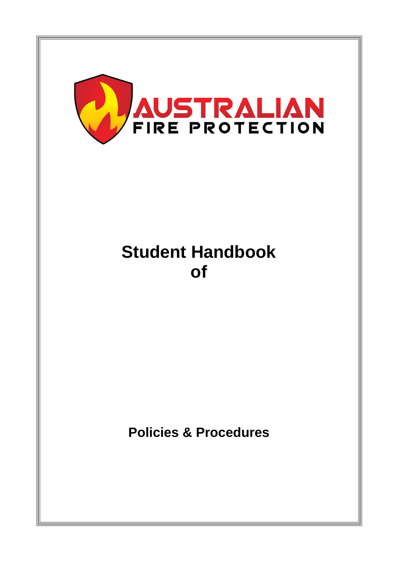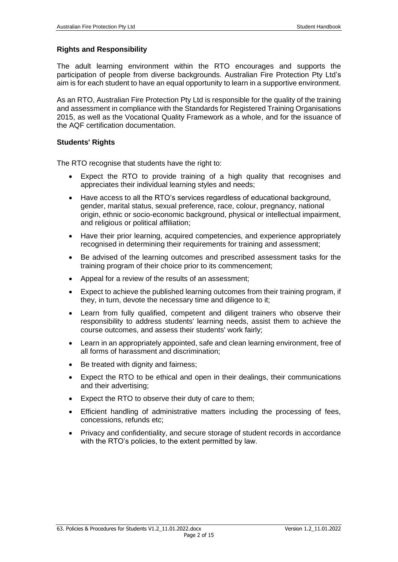#### **Rights and Responsibility**

The adult learning environment within the RTO encourages and supports the participation of people from diverse backgrounds. Australian Fire Protection Pty Ltd's aim is for each student to have an equal opportunity to learn in a supportive environment.

As an RTO, Australian Fire Protection Pty Ltd is responsible for the quality of the training and assessment in compliance with the Standards for Registered Training Organisations 2015, as well as the Vocational Quality Framework as a whole, and for the issuance of the AQF certification documentation.

#### **Students' Rights**

The RTO recognise that students have the right to:

- Expect the RTO to provide training of a high quality that recognises and appreciates their individual learning styles and needs;
- Have access to all the RTO's services regardless of educational background, gender, marital status, sexual preference, race, colour, pregnancy, national origin, ethnic or socio-economic background, physical or intellectual impairment, and religious or political affiliation;
- Have their prior learning, acquired competencies, and experience appropriately recognised in determining their requirements for training and assessment;
- Be advised of the learning outcomes and prescribed assessment tasks for the training program of their choice prior to its commencement;
- Appeal for a review of the results of an assessment;
- Expect to achieve the published learning outcomes from their training program, if they, in turn, devote the necessary time and diligence to it;
- Learn from fully qualified, competent and diligent trainers who observe their responsibility to address students' learning needs, assist them to achieve the course outcomes, and assess their students' work fairly;
- Learn in an appropriately appointed, safe and clean learning environment, free of all forms of harassment and discrimination;
- Be treated with dignity and fairness;
- Expect the RTO to be ethical and open in their dealings, their communications and their advertising;
- Expect the RTO to observe their duty of care to them;
- Efficient handling of administrative matters including the processing of fees, concessions, refunds etc;
- Privacy and confidentiality, and secure storage of student records in accordance with the RTO's policies, to the extent permitted by law.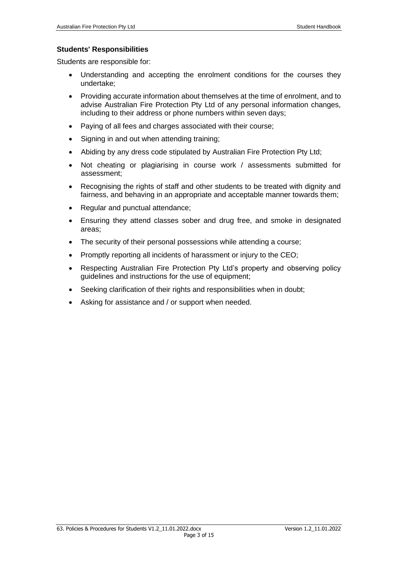## **Students' Responsibilities**

Students are responsible for:

- Understanding and accepting the enrolment conditions for the courses they undertake;
- Providing accurate information about themselves at the time of enrolment, and to advise Australian Fire Protection Pty Ltd of any personal information changes, including to their address or phone numbers within seven days;
- Paying of all fees and charges associated with their course;
- Signing in and out when attending training;
- Abiding by any dress code stipulated by Australian Fire Protection Pty Ltd;
- Not cheating or plagiarising in course work / assessments submitted for assessment;
- Recognising the rights of staff and other students to be treated with dignity and fairness, and behaving in an appropriate and acceptable manner towards them;
- Regular and punctual attendance;
- Ensuring they attend classes sober and drug free, and smoke in designated areas;
- The security of their personal possessions while attending a course;
- Promptly reporting all incidents of harassment or injury to the CEO;
- Respecting Australian Fire Protection Pty Ltd's property and observing policy guidelines and instructions for the use of equipment;
- Seeking clarification of their rights and responsibilities when in doubt;
- Asking for assistance and / or support when needed.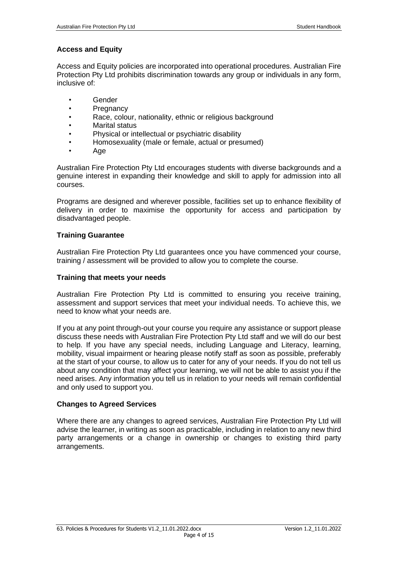## **Access and Equity**

Access and Equity policies are incorporated into operational procedures. Australian Fire Protection Pty Ltd prohibits discrimination towards any group or individuals in any form, inclusive of:

- Gender
- Pregnancy
- Race, colour, nationality, ethnic or religious background
- Marital status
- Physical or intellectual or psychiatric disability
- Homosexuality (male or female, actual or presumed)
- Age

Australian Fire Protection Pty Ltd encourages students with diverse backgrounds and a genuine interest in expanding their knowledge and skill to apply for admission into all courses.

Programs are designed and wherever possible, facilities set up to enhance flexibility of delivery in order to maximise the opportunity for access and participation by disadvantaged people.

## **Training Guarantee**

Australian Fire Protection Pty Ltd guarantees once you have commenced your course, training / assessment will be provided to allow you to complete the course.

## **Training that meets your needs**

Australian Fire Protection Pty Ltd is committed to ensuring you receive training, assessment and support services that meet your individual needs. To achieve this, we need to know what your needs are.

If you at any point through-out your course you require any assistance or support please discuss these needs with Australian Fire Protection Pty Ltd staff and we will do our best to help. If you have any special needs, including Language and Literacy, learning, mobility, visual impairment or hearing please notify staff as soon as possible, preferably at the start of your course, to allow us to cater for any of your needs. If you do not tell us about any condition that may affect your learning, we will not be able to assist you if the need arises. Any information you tell us in relation to your needs will remain confidential and only used to support you.

## **Changes to Agreed Services**

Where there are any changes to agreed services, Australian Fire Protection Pty Ltd will advise the learner, in writing as soon as practicable, including in relation to any new third party arrangements or a change in ownership or changes to existing third party arrangements.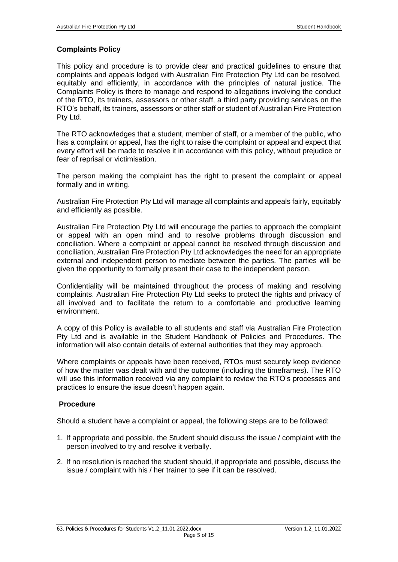## **Complaints Policy**

This policy and procedure is to provide clear and practical guidelines to ensure that complaints and appeals lodged with Australian Fire Protection Pty Ltd can be resolved, equitably and efficiently, in accordance with the principles of natural justice. The Complaints Policy is there to manage and respond to allegations involving the conduct of the RTO, its trainers, assessors or other staff, a third party providing services on the RTO's behalf, its trainers, assessors or other staff or student of Australian Fire Protection Pty Ltd.

The RTO acknowledges that a student, member of staff, or a member of the public, who has a complaint or appeal, has the right to raise the complaint or appeal and expect that every effort will be made to resolve it in accordance with this policy, without prejudice or fear of reprisal or victimisation.

The person making the complaint has the right to present the complaint or appeal formally and in writing.

Australian Fire Protection Pty Ltd will manage all complaints and appeals fairly, equitably and efficiently as possible.

Australian Fire Protection Pty Ltd will encourage the parties to approach the complaint or appeal with an open mind and to resolve problems through discussion and conciliation. Where a complaint or appeal cannot be resolved through discussion and conciliation, Australian Fire Protection Pty Ltd acknowledges the need for an appropriate external and independent person to mediate between the parties. The parties will be given the opportunity to formally present their case to the independent person.

Confidentiality will be maintained throughout the process of making and resolving complaints. Australian Fire Protection Pty Ltd seeks to protect the rights and privacy of all involved and to facilitate the return to a comfortable and productive learning environment.

A copy of this Policy is available to all students and staff via Australian Fire Protection Pty Ltd and is available in the Student Handbook of Policies and Procedures. The information will also contain details of external authorities that they may approach.

Where complaints or appeals have been received, RTOs must securely keep evidence of how the matter was dealt with and the outcome (including the timeframes). The RTO will use this information received via any complaint to review the RTO's processes and practices to ensure the issue doesn't happen again.

## **Procedure**

Should a student have a complaint or appeal, the following steps are to be followed:

- 1. If appropriate and possible, the Student should discuss the issue / complaint with the person involved to try and resolve it verbally.
- 2. If no resolution is reached the student should, if appropriate and possible, discuss the issue / complaint with his / her trainer to see if it can be resolved.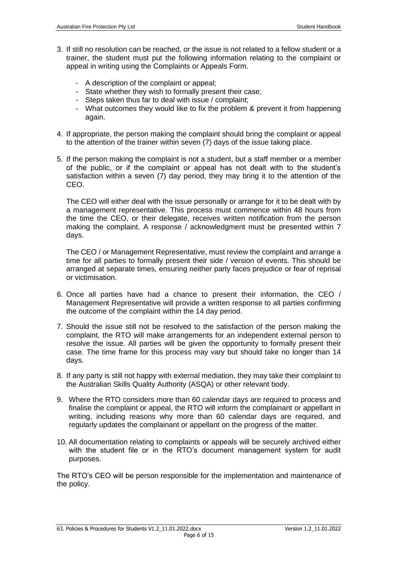- 3. If still no resolution can be reached, or the issue is not related to a fellow student or a trainer, the student must put the following information relating to the complaint or appeal in writing using the Complaints or Appeals Form.
	- A description of the complaint or appeal;
	- State whether they wish to formally present their case;
	- Steps taken thus far to deal with issue / complaint;
	- What outcomes they would like to fix the problem & prevent it from happening again.
- 4. If appropriate, the person making the complaint should bring the complaint or appeal to the attention of the trainer within seven (7) days of the issue taking place.
- 5. If the person making the complaint is not a student, but a staff member or a member of the public, or if the complaint or appeal has not dealt with to the student's satisfaction within a seven (7) day period, they may bring it to the attention of the CEO.

The CEO will either deal with the issue personally or arrange for it to be dealt with by a management representative. This process must commence within 48 hours from the time the CEO, or their delegate, receives written notification from the person making the complaint. A response / acknowledgment must be presented within 7 days.

The CEO / or Management Representative, must review the complaint and arrange a time for all parties to formally present their side / version of events. This should be arranged at separate times, ensuring neither party faces prejudice or fear of reprisal or victimisation.

- 6. Once all parties have had a chance to present their information, the CEO / Management Representative will provide a written response to all parties confirming the outcome of the complaint within the 14 day period.
- 7. Should the issue still not be resolved to the satisfaction of the person making the complaint, the RTO will make arrangements for an independent external person to resolve the issue. All parties will be given the opportunity to formally present their case. The time frame for this process may vary but should take no longer than 14 days.
- 8. If any party is still not happy with external mediation, they may take their complaint to the Australian Skills Quality Authority (ASQA) or other relevant body.
- 9. Where the RTO considers more than 60 calendar days are required to process and finalise the complaint or appeal, the RTO will inform the complainant or appellant in writing, including reasons why more than 60 calendar days are required, and regularly updates the complainant or appellant on the progress of the matter.
- 10. All documentation relating to complaints or appeals will be securely archived either with the student file or in the RTO's document management system for audit purposes.

The RTO's CEO will be person responsible for the implementation and maintenance of the policy.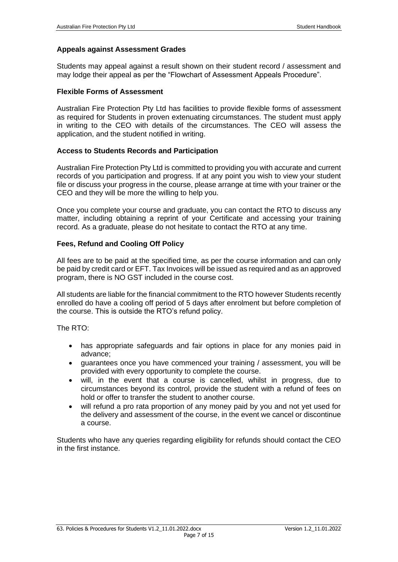#### **Appeals against Assessment Grades**

Students may appeal against a result shown on their student record / assessment and may lodge their appeal as per the "Flowchart of Assessment Appeals Procedure".

#### **Flexible Forms of Assessment**

Australian Fire Protection Pty Ltd has facilities to provide flexible forms of assessment as required for Students in proven extenuating circumstances. The student must apply in writing to the CEO with details of the circumstances. The CEO will assess the application, and the student notified in writing.

## **Access to Students Records and Participation**

Australian Fire Protection Pty Ltd is committed to providing you with accurate and current records of you participation and progress. If at any point you wish to view your student file or discuss your progress in the course, please arrange at time with your trainer or the CEO and they will be more the willing to help you.

Once you complete your course and graduate, you can contact the RTO to discuss any matter, including obtaining a reprint of your Certificate and accessing your training record. As a graduate, please do not hesitate to contact the RTO at any time.

## **Fees, Refund and Cooling Off Policy**

All fees are to be paid at the specified time, as per the course information and can only be paid by credit card or EFT. Tax Invoices will be issued as required and as an approved program, there is NO GST included in the course cost.

All students are liable for the financial commitment to the RTO however Students recently enrolled do have a cooling off period of 5 days after enrolment but before completion of the course. This is outside the RTO's refund policy.

The RTO:

- has appropriate safeguards and fair options in place for any monies paid in advance;
- guarantees once you have commenced your training / assessment, you will be provided with every opportunity to complete the course.
- will, in the event that a course is cancelled, whilst in progress, due to circumstances beyond its control, provide the student with a refund of fees on hold or offer to transfer the student to another course.
- will refund a pro rata proportion of any money paid by you and not yet used for the delivery and assessment of the course, in the event we cancel or discontinue a course.

Students who have any queries regarding eligibility for refunds should contact the CEO in the first instance.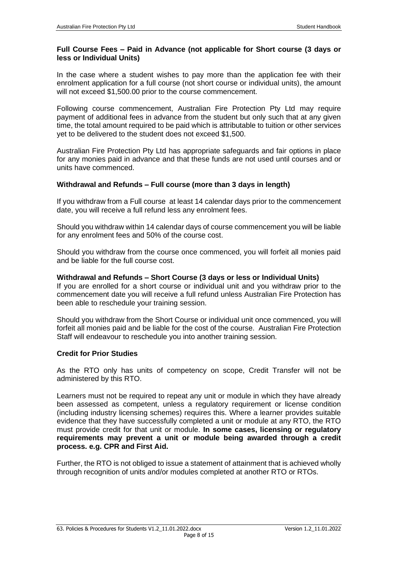## **Full Course Fees – Paid in Advance (not applicable for Short course (3 days or less or Individual Units)**

In the case where a student wishes to pay more than the application fee with their enrolment application for a full course (not short course or individual units), the amount will not exceed \$1,500.00 prior to the course commencement.

Following course commencement, Australian Fire Protection Pty Ltd may require payment of additional fees in advance from the student but only such that at any given time, the total amount required to be paid which is attributable to tuition or other services yet to be delivered to the student does not exceed \$1,500.

Australian Fire Protection Pty Ltd has appropriate safeguards and fair options in place for any monies paid in advance and that these funds are not used until courses and or units have commenced.

# **Withdrawal and Refunds – Full course (more than 3 days in length)**

If you withdraw from a Full course at least 14 calendar days prior to the commencement date, you will receive a full refund less any enrolment fees.

Should you withdraw within 14 calendar days of course commencement you will be liable for any enrolment fees and 50% of the course cost.

Should you withdraw from the course once commenced, you will forfeit all monies paid and be liable for the full course cost.

## **Withdrawal and Refunds – Short Course (3 days or less or Individual Units)**

If you are enrolled for a short course or individual unit and you withdraw prior to the commencement date you will receive a full refund unless Australian Fire Protection has been able to reschedule your training session.

Should you withdraw from the Short Course or individual unit once commenced, you will forfeit all monies paid and be liable for the cost of the course. Australian Fire Protection Staff will endeavour to reschedule you into another training session.

## **Credit for Prior Studies**

As the RTO only has units of competency on scope, Credit Transfer will not be administered by this RTO.

Learners must not be required to repeat any unit or module in which they have already been assessed as competent, unless a regulatory requirement or license condition (including industry licensing schemes) requires this. Where a learner provides suitable evidence that they have successfully completed a unit or module at any RTO, the RTO must provide credit for that unit or module. **In some cases, licensing or regulatory requirements may prevent a unit or module being awarded through a credit process. e.g. CPR and First Aid.**

Further, the RTO is not obliged to issue a statement of attainment that is achieved wholly through recognition of units and/or modules completed at another RTO or RTOs.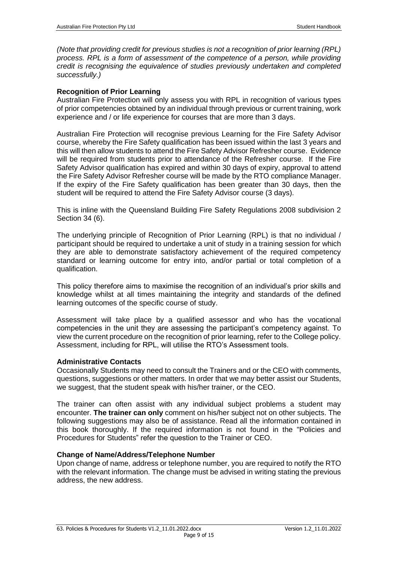*(Note that providing credit for previous studies is not a recognition of prior learning (RPL) process. RPL is a form of assessment of the competence of a person, while providing credit is recognising the equivalence of studies previously undertaken and completed successfully.)*

#### **Recognition of Prior Learning**

Australian Fire Protection will only assess you with RPL in recognition of various types of prior competencies obtained by an individual through previous or current training, work experience and / or life experience for courses that are more than 3 days.

Australian Fire Protection will recognise previous Learning for the Fire Safety Advisor course, whereby the Fire Safety qualification has been issued within the last 3 years and this will then allow students to attend the Fire Safety Advisor Refresher course. Evidence will be required from students prior to attendance of the Refresher course. If the Fire Safety Advisor qualification has expired and within 30 days of expiry, approval to attend the Fire Safety Advisor Refresher course will be made by the RTO compliance Manager. If the expiry of the Fire Safety qualification has been greater than 30 days, then the student will be required to attend the Fire Safety Advisor course (3 days).

This is inline with the Queensland Building Fire Safety Regulations 2008 subdivision 2 Section 34 (6).

The underlying principle of Recognition of Prior Learning (RPL) is that no individual / participant should be required to undertake a unit of study in a training session for which they are able to demonstrate satisfactory achievement of the required competency standard or learning outcome for entry into, and/or partial or total completion of a qualification.

This policy therefore aims to maximise the recognition of an individual's prior skills and knowledge whilst at all times maintaining the integrity and standards of the defined learning outcomes of the specific course of study.

Assessment will take place by a qualified assessor and who has the vocational competencies in the unit they are assessing the participant's competency against. To view the current procedure on the recognition of prior learning, refer to the College policy. Assessment, including for RPL, will utilise the RTO's Assessment tools.

## **Administrative Contacts**

Occasionally Students may need to consult the Trainers and or the CEO with comments, questions, suggestions or other matters. In order that we may better assist our Students, we suggest, that the student speak with his/her trainer, or the CEO.

The trainer can often assist with any individual subject problems a student may encounter. **The trainer can only** comment on his/her subject not on other subjects. The following suggestions may also be of assistance. Read all the information contained in this book thoroughly. If the required information is not found in the "Policies and Procedures for Students" refer the question to the Trainer or CEO.

## **Change of Name/Address/Telephone Number**

Upon change of name, address or telephone number, you are required to notify the RTO with the relevant information. The change must be advised in writing stating the previous address, the new address.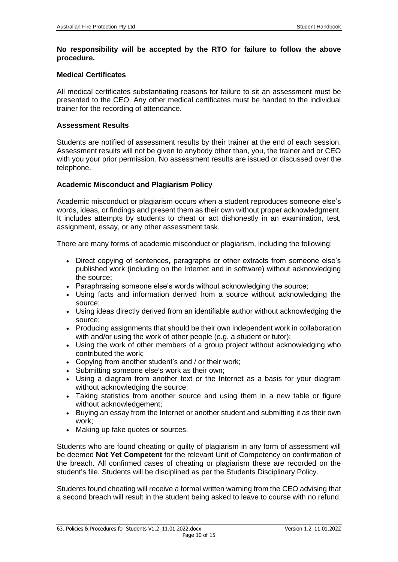#### **No responsibility will be accepted by the RTO for failure to follow the above procedure.**

#### **Medical Certificates**

All medical certificates substantiating reasons for failure to sit an assessment must be presented to the CEO. Any other medical certificates must be handed to the individual trainer for the recording of attendance.

#### **Assessment Results**

Students are notified of assessment results by their trainer at the end of each session. Assessment results will not be given to anybody other than, you, the trainer and or CEO with you your prior permission. No assessment results are issued or discussed over the telephone.

## **Academic Misconduct and Plagiarism Policy**

Academic misconduct or plagiarism occurs when a student reproduces someone else's words, ideas, or findings and present them as their own without proper acknowledgment. It includes attempts by students to cheat or act dishonestly in an examination, test, assignment, essay, or any other assessment task.

There are many forms of academic misconduct or plagiarism, including the following:

- Direct copying of sentences, paragraphs or other extracts from someone else's published work (including on the Internet and in software) without acknowledging the source;
- Paraphrasing someone else's words without acknowledging the source;
- Using facts and information derived from a source without acknowledging the source;
- Using ideas directly derived from an identifiable author without acknowledging the source;
- Producing assignments that should be their own independent work in collaboration with and/or using the work of other people (e.g. a student or tutor);
- Using the work of other members of a group project without acknowledging who contributed the work;
- Copying from another student's and / or their work;
- Submitting someone else's work as their own;
- Using a diagram from another text or the Internet as a basis for your diagram without acknowledging the source;
- Taking statistics from another source and using them in a new table or figure without acknowledgement;
- Buying an essay from the Internet or another student and submitting it as their own work;
- Making up fake quotes or sources.

Students who are found cheating or guilty of plagiarism in any form of assessment will be deemed **Not Yet Competent** for the relevant Unit of Competency on confirmation of the breach. All confirmed cases of cheating or plagiarism these are recorded on the student's file. Students will be disciplined as per the Students Disciplinary Policy.

Students found cheating will receive a formal written warning from the CEO advising that a second breach will result in the student being asked to leave to course with no refund.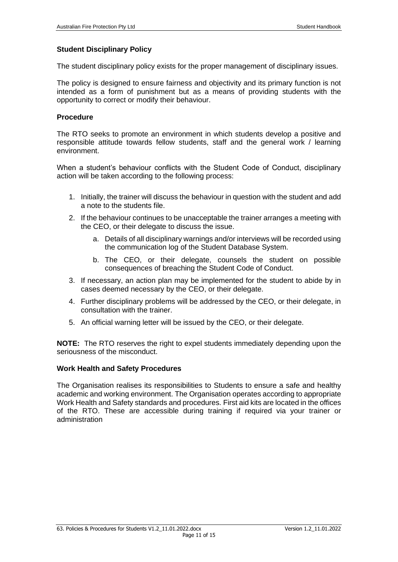#### **Student Disciplinary Policy**

The student disciplinary policy exists for the proper management of disciplinary issues.

The policy is designed to ensure fairness and objectivity and its primary function is not intended as a form of punishment but as a means of providing students with the opportunity to correct or modify their behaviour.

#### **Procedure**

The RTO seeks to promote an environment in which students develop a positive and responsible attitude towards fellow students, staff and the general work / learning environment.

When a student's behaviour conflicts with the Student Code of Conduct, disciplinary action will be taken according to the following process:

- 1. Initially, the trainer will discuss the behaviour in question with the student and add a note to the students file.
- 2. If the behaviour continues to be unacceptable the trainer arranges a meeting with the CEO, or their delegate to discuss the issue.
	- a. Details of all disciplinary warnings and/or interviews will be recorded using the communication log of the Student Database System.
	- b. The CEO, or their delegate, counsels the student on possible consequences of breaching the Student Code of Conduct.
- 3. If necessary, an action plan may be implemented for the student to abide by in cases deemed necessary by the CEO, or their delegate.
- 4. Further disciplinary problems will be addressed by the CEO, or their delegate, in consultation with the trainer.
- 5. An official warning letter will be issued by the CEO, or their delegate.

**NOTE:** The RTO reserves the right to expel students immediately depending upon the seriousness of the misconduct.

#### **Work Health and Safety Procedures**

The Organisation realises its responsibilities to Students to ensure a safe and healthy academic and working environment. The Organisation operates according to appropriate Work Health and Safety standards and procedures. First aid kits are located in the offices of the RTO. These are accessible during training if required via your trainer or administration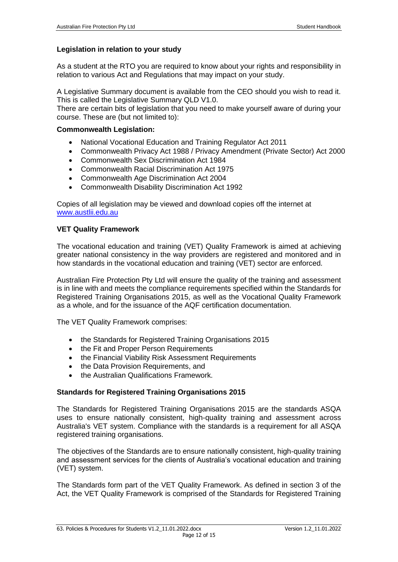# **Legislation in relation to your study**

As a student at the RTO you are required to know about your rights and responsibility in relation to various Act and Regulations that may impact on your study.

A Legislative Summary document is available from the CEO should you wish to read it. This is called the Legislative Summary QLD V1.0.

There are certain bits of legislation that you need to make yourself aware of during your course. These are (but not limited to):

#### **Commonwealth Legislation:**

- National Vocational Education and Training Regulator Act 2011
- Commonwealth Privacy Act 1988 / Privacy Amendment (Private Sector) Act 2000
- Commonwealth Sex Discrimination Act 1984
- Commonwealth Racial Discrimination Act 1975
- Commonwealth Age Discrimination Act 2004
- Commonwealth Disability Discrimination Act 1992

Copies of all legislation may be viewed and download copies off the internet at [www.austlii.edu.au](http://www.austlii.edu.au/)

## **VET Quality Framework**

The vocational education and training (VET) Quality Framework is aimed at achieving greater national consistency in the way providers are registered and monitored and in how standards in the vocational education and training (VET) sector are enforced.

Australian Fire Protection Pty Ltd will ensure the quality of the training and assessment is in line with and meets the compliance requirements specified within the Standards for Registered Training Organisations 2015, as well as the Vocational Quality Framework as a whole, and for the issuance of the AQF certification documentation.

The VET Quality Framework comprises:

- the Standards for Registered Training Organisations 2015
- the Fit and Proper Person Requirements
- the Financial Viability Risk Assessment Requirements
- the Data Provision Requirements, and
- the Australian Qualifications Framework.

## **Standards for Registered Training Organisations 2015**

The Standards for Registered Training Organisations 2015 are the standards ASQA uses to ensure nationally consistent, high-quality training and assessment across Australia's VET system. Compliance with the standards is a requirement for all ASQA registered training organisations.

The objectives of the Standards are to ensure nationally consistent, high-quality training and assessment services for the clients of Australia's vocational education and training (VET) system.

The Standards form part of the VET Quality Framework. As defined in section 3 of the Act, the VET Quality Framework is comprised of the Standards for Registered Training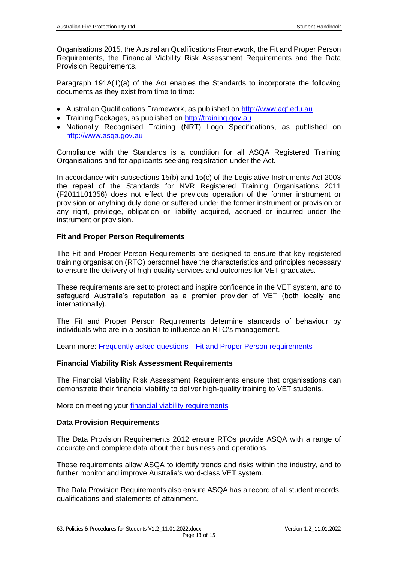Organisations 2015, the Australian Qualifications Framework, the Fit and Proper Person Requirements, the Financial Viability Risk Assessment Requirements and the Data Provision Requirements.

Paragraph 191A(1)(a) of the Act enables the Standards to incorporate the following documents as they exist from time to time:

- Australian Qualifications Framework, as published on [http://www.aqf.edu.au](http://www.aqf.edu.au/)
- Training Packages, as published on [http://training.gov.au](http://training.gov.au/)
- Nationally Recognised Training (NRT) Logo Specifications, as published on [http://www.asqa.gov.au](http://www.asqa.gov.au/)

Compliance with the Standards is a condition for all ASQA Registered Training Organisations and for applicants seeking registration under the Act.

In accordance with subsections 15(b) and 15(c) of the Legislative Instruments Act 2003 the repeal of the Standards for NVR Registered Training Organisations 2011 (F2011L01356) does not effect the previous operation of the former instrument or provision or anything duly done or suffered under the former instrument or provision or any right, privilege, obligation or liability acquired, accrued or incurred under the instrument or provision.

#### **Fit and Proper Person Requirements**

The Fit and Proper Person Requirements are designed to ensure that key registered training organisation (RTO) personnel have the characteristics and principles necessary to ensure the delivery of high-quality services and outcomes for VET graduates.

These requirements are set to protect and inspire confidence in the VET system, and to safeguard Australia's reputation as a premier provider of VET (both locally and internationally).

The Fit and Proper Person Requirements determine standards of behaviour by individuals who are in a position to influence an RTO's management.

Learn more: [Frequently asked questions—Fit and Proper Person requirements](http://www.asqa.gov.au/faqs/frequently-asked-questions.html#becoming-an-rto/can-i-apply-for-rto-registration-if-f-i-have-been-convicted-of-an-offence-against)

## **Financial Viability Risk Assessment Requirements**

The Financial Viability Risk Assessment Requirements ensure that organisations can demonstrate their financial viability to deliver high-quality training to VET students.

More on meeting your [financial viability requirements](http://www.asqa.gov.au/vet-registration/apply-for-registration/demonstrate-financial-viability.html)

#### **Data Provision Requirements**

The Data Provision Requirements 2012 ensure RTOs provide ASQA with a range of accurate and complete data about their business and operations.

These requirements allow ASQA to identify trends and risks within the industry, and to further monitor and improve Australia's word-class VET system.

The Data Provision Requirements also ensure ASQA has a record of all student records, qualifications and statements of attainment.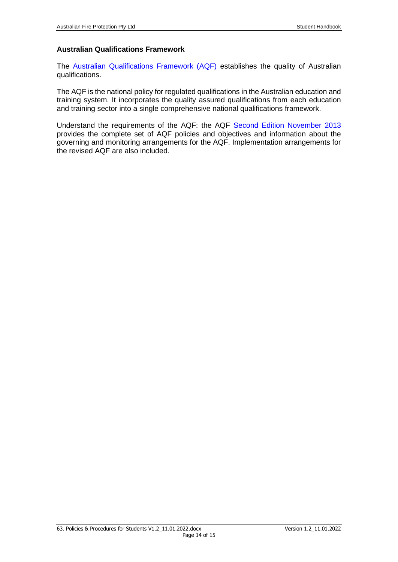## **Australian Qualifications Framework**

The [Australian Qualifications Framework \(AQF\)](http://www.aqf.edu.au/) establishes the quality of Australian qualifications.

The AQF is the national policy for regulated qualifications in the Australian education and training system. It incorporates the quality assured qualifications from each education and training sector into a single comprehensive national qualifications framework.

Understand the requirements of the AQF: the AQF [Second Edition November](http://www.aqf.edu.au/wp-content/uploads/2013/05/AQF-2nd-Edition-January-2013.pdf) 2013 provides the complete set of AQF policies and objectives and information about the governing and monitoring arrangements for the AQF. Implementation arrangements for the revised AQF are also included.